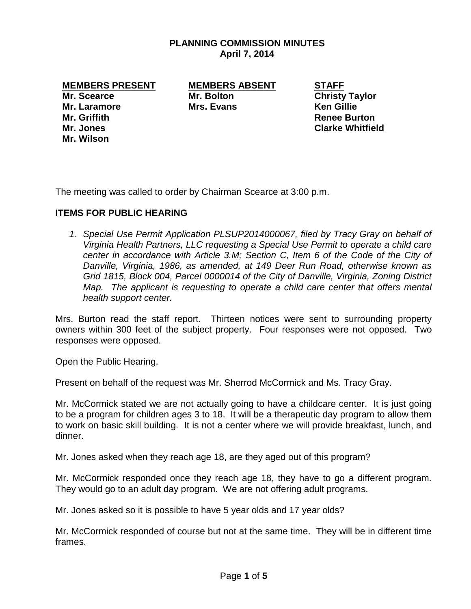## **PLANNING COMMISSION MINUTES April 7, 2014**

**MEMBERS PRESENT MEMBERS ABSENT STAFF**

**Mr. Laramore Mrs. Evans Ken Gillie Mr. Griffith Renee Burton Mr. Wilson**

**Mr. Scearce Mr. Bolton Christy Taylor** 

**Mr. Jones Clarke Whitfield**

The meeting was called to order by Chairman Scearce at 3:00 p.m.

## **ITEMS FOR PUBLIC HEARING**

*1. Special Use Permit Application PLSUP2014000067, filed by Tracy Gray on behalf of Virginia Health Partners, LLC requesting a Special Use Permit to operate a child care center in accordance with Article 3.M; Section C, Item 6 of the Code of the City of Danville, Virginia, 1986, as amended, at 149 Deer Run Road, otherwise known as Grid 1815, Block 004, Parcel 0000014 of the City of Danville, Virginia, Zoning District Map.* The applicant is requesting to operate a child care center that offers mental *health support center.*

Mrs. Burton read the staff report. Thirteen notices were sent to surrounding property owners within 300 feet of the subject property. Four responses were not opposed. Two responses were opposed.

Open the Public Hearing.

Present on behalf of the request was Mr. Sherrod McCormick and Ms. Tracy Gray.

Mr. McCormick stated we are not actually going to have a childcare center. It is just going to be a program for children ages 3 to 18. It will be a therapeutic day program to allow them to work on basic skill building. It is not a center where we will provide breakfast, lunch, and dinner.

Mr. Jones asked when they reach age 18, are they aged out of this program?

Mr. McCormick responded once they reach age 18, they have to go a different program. They would go to an adult day program. We are not offering adult programs.

Mr. Jones asked so it is possible to have 5 year olds and 17 year olds?

Mr. McCormick responded of course but not at the same time. They will be in different time frames.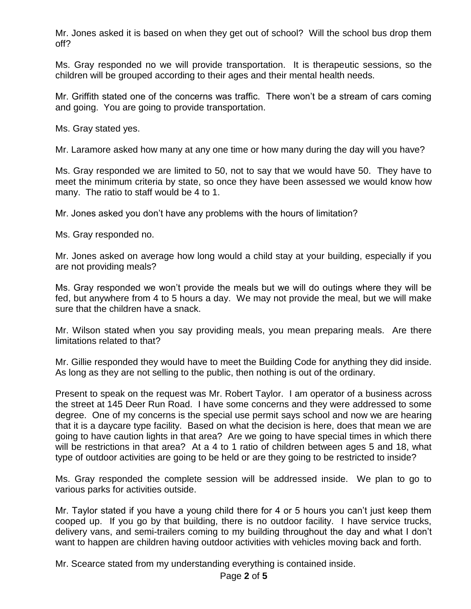Mr. Jones asked it is based on when they get out of school? Will the school bus drop them off?

Ms. Gray responded no we will provide transportation. It is therapeutic sessions, so the children will be grouped according to their ages and their mental health needs.

Mr. Griffith stated one of the concerns was traffic. There won't be a stream of cars coming and going. You are going to provide transportation.

Ms. Gray stated yes.

Mr. Laramore asked how many at any one time or how many during the day will you have?

Ms. Gray responded we are limited to 50, not to say that we would have 50. They have to meet the minimum criteria by state, so once they have been assessed we would know how many. The ratio to staff would be 4 to 1.

Mr. Jones asked you don't have any problems with the hours of limitation?

Ms. Gray responded no.

Mr. Jones asked on average how long would a child stay at your building, especially if you are not providing meals?

Ms. Gray responded we won't provide the meals but we will do outings where they will be fed, but anywhere from 4 to 5 hours a day. We may not provide the meal, but we will make sure that the children have a snack.

Mr. Wilson stated when you say providing meals, you mean preparing meals. Are there limitations related to that?

Mr. Gillie responded they would have to meet the Building Code for anything they did inside. As long as they are not selling to the public, then nothing is out of the ordinary.

Present to speak on the request was Mr. Robert Taylor. I am operator of a business across the street at 145 Deer Run Road. I have some concerns and they were addressed to some degree. One of my concerns is the special use permit says school and now we are hearing that it is a daycare type facility. Based on what the decision is here, does that mean we are going to have caution lights in that area? Are we going to have special times in which there will be restrictions in that area? At a 4 to 1 ratio of children between ages 5 and 18, what type of outdoor activities are going to be held or are they going to be restricted to inside?

Ms. Gray responded the complete session will be addressed inside. We plan to go to various parks for activities outside.

Mr. Taylor stated if you have a young child there for 4 or 5 hours you can't just keep them cooped up. If you go by that building, there is no outdoor facility. I have service trucks, delivery vans, and semi-trailers coming to my building throughout the day and what I don't want to happen are children having outdoor activities with vehicles moving back and forth.

Mr. Scearce stated from my understanding everything is contained inside.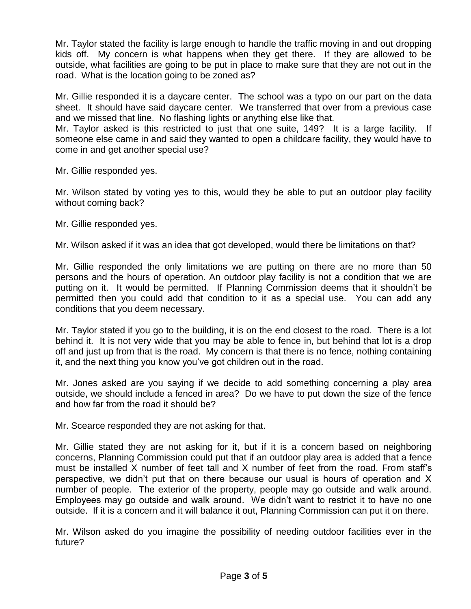Mr. Taylor stated the facility is large enough to handle the traffic moving in and out dropping kids off. My concern is what happens when they get there. If they are allowed to be outside, what facilities are going to be put in place to make sure that they are not out in the road. What is the location going to be zoned as?

Mr. Gillie responded it is a daycare center. The school was a typo on our part on the data sheet. It should have said daycare center. We transferred that over from a previous case and we missed that line. No flashing lights or anything else like that.

Mr. Taylor asked is this restricted to just that one suite, 149? It is a large facility. If someone else came in and said they wanted to open a childcare facility, they would have to come in and get another special use?

Mr. Gillie responded yes.

Mr. Wilson stated by voting yes to this, would they be able to put an outdoor play facility without coming back?

Mr. Gillie responded yes.

Mr. Wilson asked if it was an idea that got developed, would there be limitations on that?

Mr. Gillie responded the only limitations we are putting on there are no more than 50 persons and the hours of operation. An outdoor play facility is not a condition that we are putting on it. It would be permitted. If Planning Commission deems that it shouldn't be permitted then you could add that condition to it as a special use. You can add any conditions that you deem necessary.

Mr. Taylor stated if you go to the building, it is on the end closest to the road. There is a lot behind it. It is not very wide that you may be able to fence in, but behind that lot is a drop off and just up from that is the road. My concern is that there is no fence, nothing containing it, and the next thing you know you've got children out in the road.

Mr. Jones asked are you saying if we decide to add something concerning a play area outside, we should include a fenced in area? Do we have to put down the size of the fence and how far from the road it should be?

Mr. Scearce responded they are not asking for that.

Mr. Gillie stated they are not asking for it, but if it is a concern based on neighboring concerns, Planning Commission could put that if an outdoor play area is added that a fence must be installed X number of feet tall and X number of feet from the road. From staff's perspective, we didn't put that on there because our usual is hours of operation and X number of people. The exterior of the property, people may go outside and walk around. Employees may go outside and walk around. We didn't want to restrict it to have no one outside. If it is a concern and it will balance it out, Planning Commission can put it on there.

Mr. Wilson asked do you imagine the possibility of needing outdoor facilities ever in the future?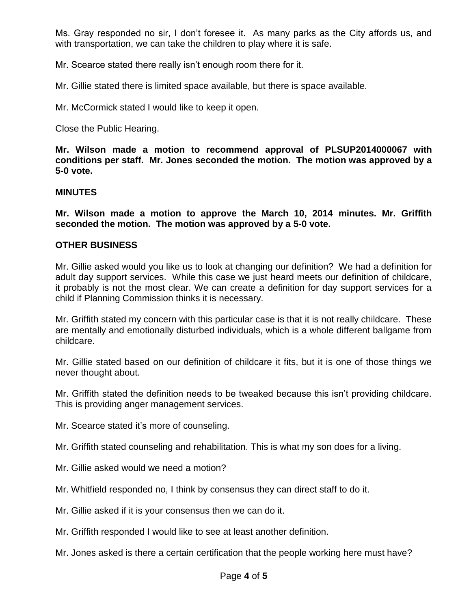Ms. Gray responded no sir, I don't foresee it. As many parks as the City affords us, and with transportation, we can take the children to play where it is safe.

Mr. Scearce stated there really isn't enough room there for it.

Mr. Gillie stated there is limited space available, but there is space available.

Mr. McCormick stated I would like to keep it open.

Close the Public Hearing.

**Mr. Wilson made a motion to recommend approval of PLSUP2014000067 with conditions per staff. Mr. Jones seconded the motion. The motion was approved by a 5-0 vote.** 

## **MINUTES**

**Mr. Wilson made a motion to approve the March 10, 2014 minutes. Mr. Griffith seconded the motion. The motion was approved by a 5-0 vote.**

## **OTHER BUSINESS**

Mr. Gillie asked would you like us to look at changing our definition? We had a definition for adult day support services. While this case we just heard meets our definition of childcare, it probably is not the most clear. We can create a definition for day support services for a child if Planning Commission thinks it is necessary.

Mr. Griffith stated my concern with this particular case is that it is not really childcare. These are mentally and emotionally disturbed individuals, which is a whole different ballgame from childcare.

Mr. Gillie stated based on our definition of childcare it fits, but it is one of those things we never thought about.

Mr. Griffith stated the definition needs to be tweaked because this isn't providing childcare. This is providing anger management services.

Mr. Scearce stated it's more of counseling.

Mr. Griffith stated counseling and rehabilitation. This is what my son does for a living.

- Mr. Gillie asked would we need a motion?
- Mr. Whitfield responded no, I think by consensus they can direct staff to do it.
- Mr. Gillie asked if it is your consensus then we can do it.
- Mr. Griffith responded I would like to see at least another definition.
- Mr. Jones asked is there a certain certification that the people working here must have?